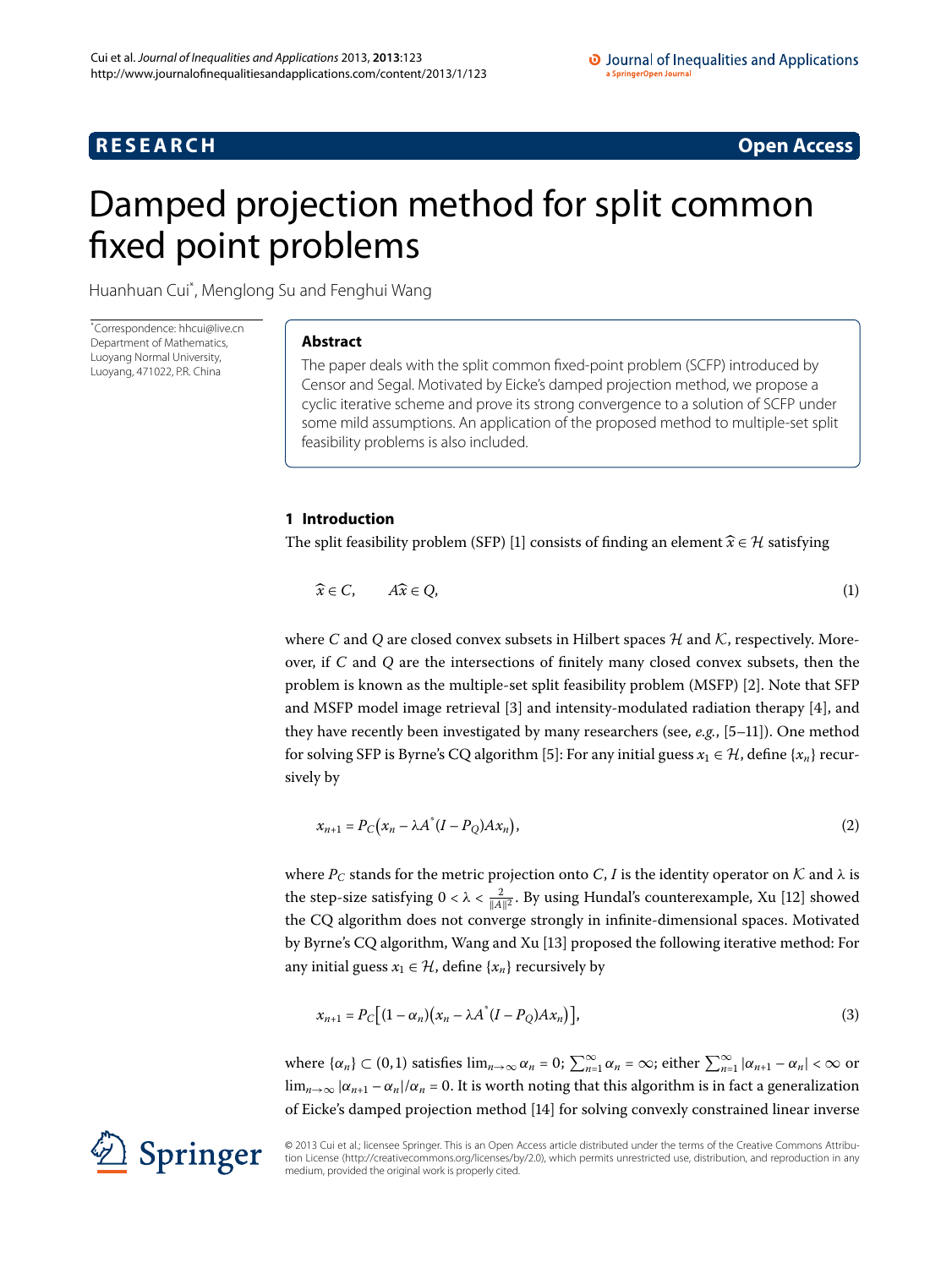# **R E S E A R C H Open Access**

<span id="page-0-2"></span>

# <span id="page-0-0"></span>Damped projection method for split common fixed point problems

Huanhuan Cui[\\*](#page-0-0) , Menglong Su and Fenghui Wang

\* Correspondence: [hhcui@live.cn](mailto:hhcui@live.cn) Department of Mathematics, Luoyang Normal University, Luoyang, 471022, P.R. China

# **Abstract**

The paper deals with the split common fixed-point problem (SCFP) introduced by Censor and Segal. Motivated by Eicke's damped projection method, we propose a cyclic iterative scheme and prove its strong convergence to a solution of SCFP under some mild assumptions. An application of the proposed method to multiple-set split feasibility problems is also included.

# **1 Introduction**

The split feasibility problem (SFP) [\[](#page-8-0)1] consists of finding an element  $\widehat{x} \in \mathcal{H}$  satisfying

$$
\widehat{x} \in C, \qquad A\widehat{x} \in Q,\tag{1}
$$

where *C* and *Q* are closed convex subsets in Hilbert spaces  $H$  and  $K$ , respectively. Moreover, if *C* and *Q* are the intersections of finitely many closed convex subsets, then the problem is known as the multiple-set split feasibility problem (MSFP) []. Note that SFP and MSFP model image retrieval [\[](#page-8-2)3] and intensity-modulated radiation therapy [4], and they have recently been investigated by many researchers (see,  $e.g., [5-11]$ ). One method for solving SFP is Byrne's CQ algorithm [\[](#page-9-0)5]: For any initial guess  $x_1 \in \mathcal{H}$ , define { $x_n$ } recursively by

<span id="page-0-1"></span>
$$
x_{n+1} = P_C(x_n - \lambda A^*(I - P_Q)Ax_n), \qquad (2)
$$

where  $P_C$  stands for the metric projection onto *C*, *I* is the identity operator on  $K$  and  $\lambda$  is the step-size satisfying  $0 < \lambda < \frac{2}{\|A\|^2}$ . By using Hundal's counterexample, Xu [12] showed the CQ algorithm does not converge strongly in infinite-dimensional spaces. Motivated by Byrne's CQ algorithm, Wang and Xu [] proposed the following iterative method: For any initial guess  $x_1 \in \mathcal{H}$ , define  $\{x_n\}$  recursively by

$$
x_{n+1} = P_C \big[ (1 - \alpha_n) \big( x_n - \lambda A^* (I - P_Q) A x_n \big) \big],\tag{3}
$$

where  $\{\alpha_n\} \subset (0,1)$  satisfies  $\lim_{n\to\infty} \alpha_n = 0$ ;  $\sum_{n=1}^{\infty} \alpha_n = \infty$ ; either  $\sum_{n=1}^{\infty} |\alpha_{n+1} - \alpha_n| < \infty$  or  $\lim_{n\to\infty} |\alpha_{n+1} - \alpha_n|/\alpha_n = 0$ . It is worth noting that this algorithm is in fact a generalization of Eicke's damped projection method [\[](#page-9-4)14] for solving convexly constrained linear inverse

© 2013 Cui et al.; licensee Springer. This is an Open Access article distributed under the terms of the Creative Commons Attribution License ([http://creativecommons.org/licenses/by/2.0\)](http://creativecommons.org/licenses/by/2.0), which permits unrestricted use, distribution, and reproduction in any medium, provided the original work is properly cited.

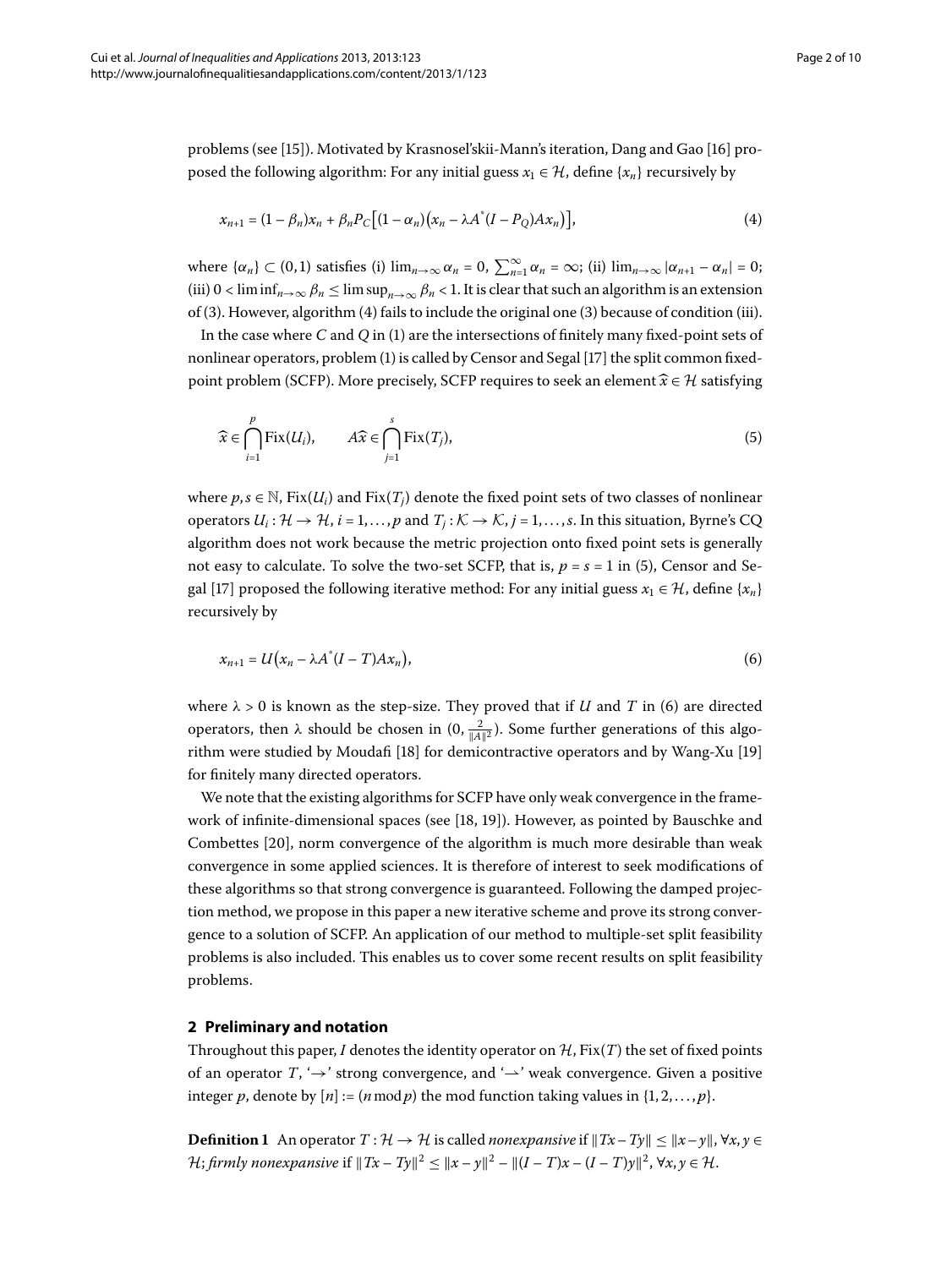problems (see [[\]](#page-9-5)). Motivated by Krasnosel'skii-Mann's iteration, Dang and Gao [\[](#page-9-6)] proposed the following algorithm: For any initial guess  $x_1 \in \mathcal{H}$ , define { $x_n$ } recursively by

<span id="page-1-1"></span><span id="page-1-0"></span>
$$
x_{n+1} = (1 - \beta_n)x_n + \beta_n P_C \big[ (1 - \alpha_n)(x_n - \lambda A^* (I - P_Q) A x_n) \big],\tag{4}
$$

where  $\{\alpha_n\} \subset (0,1)$  satisfies (i)  $\lim_{n\to\infty} \alpha_n = 0$ ,  $\sum_{n=1}^{\infty} \alpha_n = \infty$ ; (ii)  $\lim_{n\to\infty} |\alpha_{n+1} - \alpha_n| = 0$ ; (iii)  $0 < \liminf_{n \to \infty} \beta_n \le \limsup_{n \to \infty} \beta_n < 1$ . It is clear that such an algorithm is an extension of (3[\)](#page-0-1). However, algorithm (4) fails to include the original one (3) because of condition (iii).

In the case where *C* and *Q* in [\(\)](#page-0-2) are the intersections of finitely many fixed-point sets of nonlinear operators, problem (1[\)](#page-0-2) is called by Censor and Segal [\[](#page-9-7)17] the split common fixedpoint problem (SCFP). More precisely, SCFP requires to seek an element  $\widehat{x} \in \mathcal{H}$  satisfying

<span id="page-1-2"></span>
$$
\widehat{x} \in \bigcap_{i=1}^{p} \text{Fix}(U_i), \qquad A\widehat{x} \in \bigcap_{j=1}^{s} \text{Fix}(T_j), \tag{5}
$$

where  $p, s \in \mathbb{N}$ , Fix $(U_i)$  and Fix $(T_i)$  denote the fixed point sets of two classes of nonlinear operators  $U_i: \mathcal{H} \to \mathcal{H}$ ,  $i = 1, ..., p$  and  $T_i: \mathcal{K} \to \mathcal{K}$ ,  $j = 1, ..., s$ . In this situation, Byrne's CQ algorithm does not work because the metric projection onto fixed point sets is generally not easy to calculate. To solve the two-set SCFP, that is,  $p = s = 1$  in (5[\)](#page-1-1), Censor and Se-gal [17[\]](#page-9-7) proposed the following iterative method: For any initial guess  $x_1 \in \mathcal{H}$ , define { $x_n$ } recursively by

$$
x_{n+1} = U\big(x_n - \lambda A^*(I - T)Ax_n\big),\tag{6}
$$

where  $\lambda > 0$  is known as the step-size. They proved that if *U* and *T* in (6) are directed operators, then  $\lambda$  should be chosen in  $(0, \frac{2}{\|A\|^2})$ . Some further generations of this algo-rithm were studied by Moudafi [18[\]](#page-9-8) for demicontractive operators and by Wang-Xu [19] for finitely many directed operators.

We note that the existing algorithms for SCFP have only weak convergence in the frame-work of infinite-dimensional spaces (see [18[,](#page-9-8) 19[\]](#page-9-9)). However, as pointed by Bauschke and Combettes [20], norm convergence of the algorithm is much more desirable than weak convergence in some applied sciences. It is therefore of interest to seek modifications of these algorithms so that strong convergence is guaranteed. Following the damped projection method, we propose in this paper a new iterative scheme and prove its strong convergence to a solution of SCFP. An application of our method to multiple-set split feasibility problems is also included. This enables us to cover some recent results on split feasibility problems.

# **2 Preliminary and notation**

Throughout this paper, *I* denotes the identity operator on  $H$ , Fix(*T*) the set of fixed points of an operator *T*, ' $\rightarrow$ ' strong convergence, and ' $\rightarrow$ ' weak convergence. Given a positive integer *p*, denote by  $[n] := (n \mod p)$  the mod function taking values in  $\{1, 2, ..., p\}$ .

**Definition 1** An operator  $T : \mathcal{H} \to \mathcal{H}$  is called *nonexpansive* if  $||Tx-Ty|| \le ||x-y||$ ,  $\forall x, y \in$ *H*; *firmly nonexpansive* if  $||Tx - Ty||^2 < ||x - y||^2 - ||(I - T)x - (I - T)y||^2$ ,  $\forall x, y \in \mathcal{H}$ .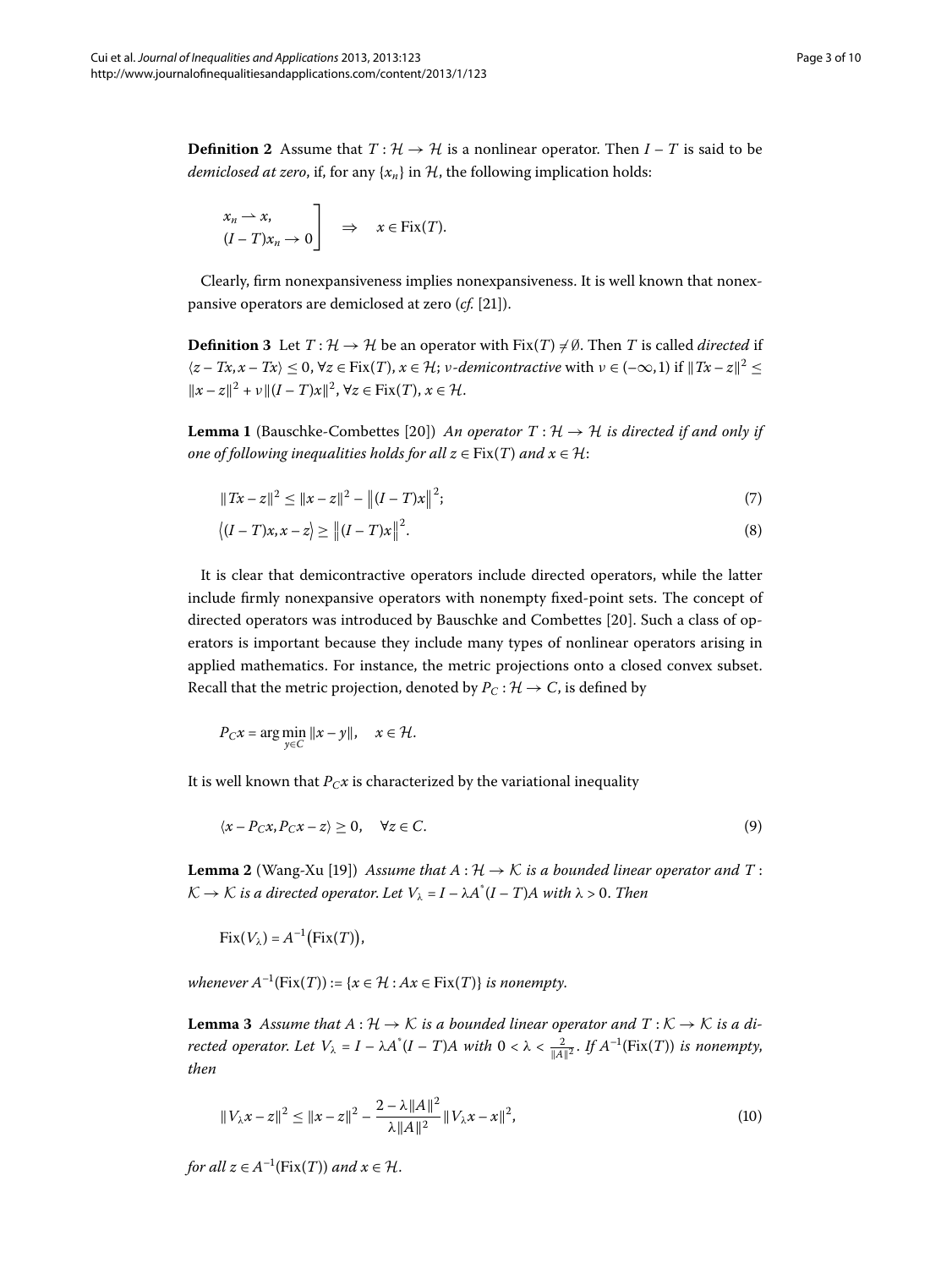**Definition 2** Assume that  $T: \mathcal{H} \to \mathcal{H}$  is a nonlinear operator. Then  $I - T$  is said to be *demiclosed at zero*, if, for any  $\{x_n\}$  in  $\mathcal{H}$ , the following implication holds:

<span id="page-2-3"></span>
$$
\begin{aligned}\nx_n \rightharpoonup x, \\
(I - T)x_n \to 0\n\end{aligned}\n\Rightarrow\nx \in \text{Fix}(T).
$$

Clearly, firm nonexpansiveness implies nonexpansiveness. It is well known that nonexpansive operators are demiclosed at zero (*cf.* [\[](#page-9-11)21]).

<span id="page-2-0"></span>**Definition 3** Let  $T: \mathcal{H} \to \mathcal{H}$  be an operator with Fix(*T*)  $\neq \emptyset$ . Then *T* is called *directed* if  $\langle z - Tx, x - Tx \rangle \leq 0$ ,  $\forall z \in Fix(T)$ ,  $x \in \mathcal{H}$ ; *ν*-*demicontractive* with  $\nu \in (-\infty, 1)$  if  $||Tx - z||^2 \leq 0$  $||x - z||^2 + v||(I - T)x||^2$ ,  $\forall z \in \text{Fix}(T)$ ,  $x \in \mathcal{H}$ .

**Lemma 1** (Bauschke-Combettes [20]) *An operator*  $T : \mathcal{H} \to \mathcal{H}$  *is directed if and only if one of following inequalities holds for all*  $z \in Fix(T)$  *and*  $x \in H$ :

$$
||Tx - z||^2 \le ||x - z||^2 - ||(I - T)x||^2;
$$
\n(7)

$$
\langle (I-T)x, x-z \rangle \ge ||(I-T)x||^2. \tag{8}
$$

It is clear that demicontractive operators include directed operators, while the latter include firmly nonexpansive operators with nonempty fixed-point sets. The concept of directed operators was introduced by Bauschke and Combettes [20[\]](#page-9-10). Such a class of operators is important because they include many types of nonlinear operators arising in applied mathematics. For instance, the metric projections onto a closed convex subset. Recall that the metric projection, denoted by  $P_C : \mathcal{H} \to C$ , is defined by

<span id="page-2-2"></span>
$$
P_C x = \arg\min_{y \in C} \|x - y\|, \quad x \in \mathcal{H}.
$$

It is well known that  $P_Cx$  is characterized by the variational inequality

$$
\langle x - P_C x, P_C x - z \rangle \ge 0, \quad \forall z \in C. \tag{9}
$$

<span id="page-2-1"></span>**Lemma 2** (Wang-Xu [19]) *Assume that*  $A : \mathcal{H} \to \mathcal{K}$  *is a bounded linear operator and*  $T$ :  $K \to K$  is a directed operator. Let  $V_{\lambda} = I - \lambda A^*(I - T)A$  with  $\lambda > 0$ . Then

$$
Fix(V_\lambda)=A^{-1}(Fix(T)),
$$

*whenever*  $A^{-1}$ (Fix(*T*)) := { $x \in H : Ax \in Fix(T)$ } *is nonempty.* 

**Lemma 3** Assume that  $A: \mathcal{H} \to \mathcal{K}$  is a bounded linear operator and  $T: \mathcal{K} \to \mathcal{K}$  is a di*rected operator. Let*  $V_{\lambda} = I - \lambda A^*(I - T)A$  with  $0 < \lambda < \frac{2}{\|A\|^2}$ . If  $A^{-1}(\text{Fix}(T))$  is nonempty, *then*

$$
||V_{\lambda}x - z||^{2} \le ||x - z||^{2} - \frac{2 - \lambda ||A||^{2}}{\lambda ||A||^{2}} ||V_{\lambda}x - x||^{2},
$$
\n(10)

*for all*  $z \in A^{-1}$ (Fix(*T*)) *and*  $x \in H$ .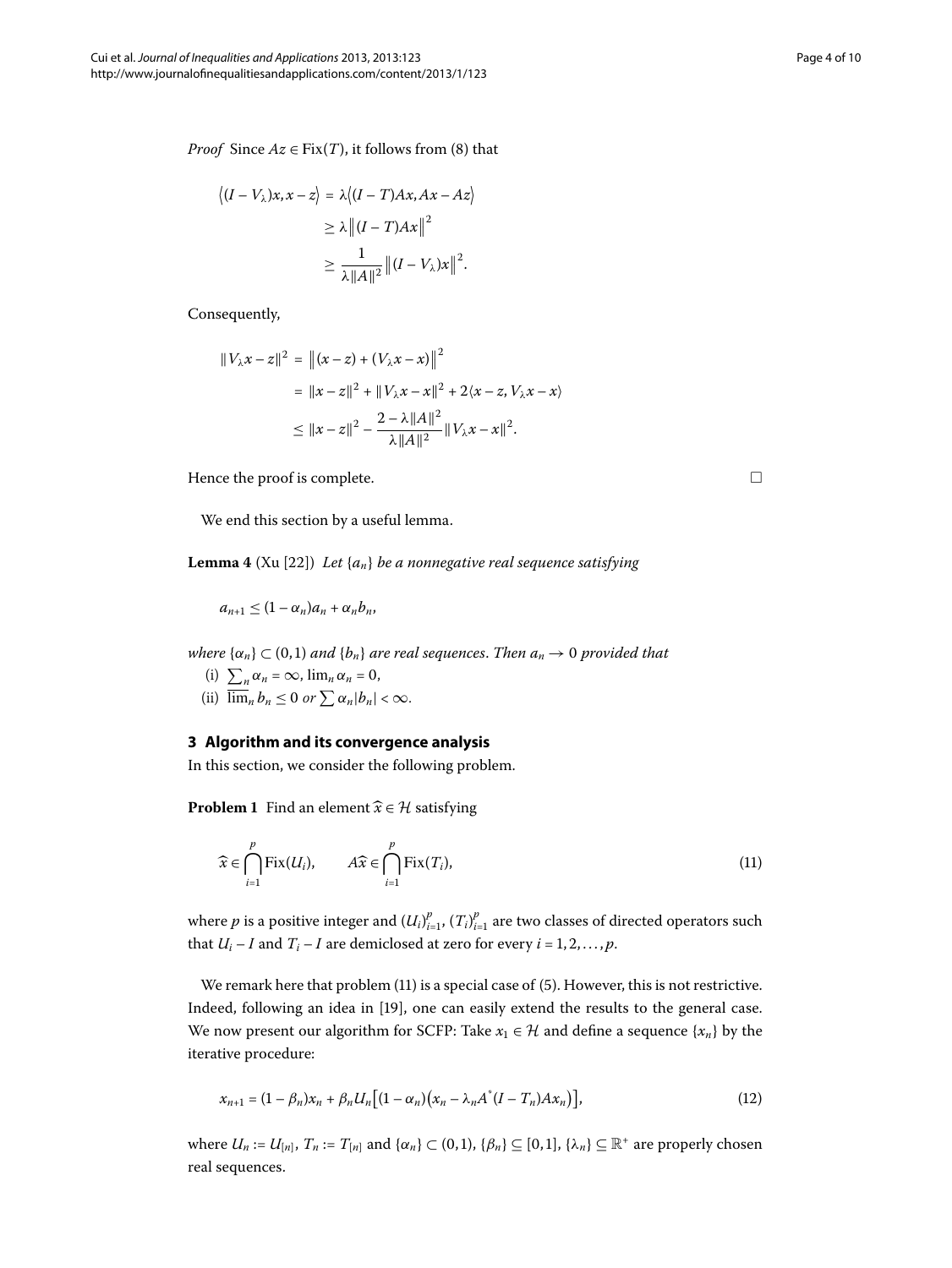*Proof* Since  $Az \in Fix(T)$  $Az \in Fix(T)$  $Az \in Fix(T)$ , it follows from (8) that

$$
\langle (I - V_{\lambda})x, x - z \rangle = \lambda \langle (I - T)Ax, Ax - Az \rangle
$$
  
\n
$$
\geq \lambda || (I - T)Ax ||^2
$$
  
\n
$$
\geq \frac{1}{\lambda ||A||^2} || (I - V_{\lambda})x ||^2.
$$

Consequently,

<span id="page-3-2"></span>
$$
||V_{\lambda}x - z||^{2} = ||(x - z) + (V_{\lambda}x - x)||^{2}
$$
  
=  $||x - z||^{2} + ||V_{\lambda}x - x||^{2} + 2\langle x - z, V_{\lambda}x - x \rangle$   
 $\le ||x - z||^{2} - \frac{2 - \lambda ||A||^{2}}{\lambda ||A||^{2}} ||V_{\lambda}x - x||^{2}.$ 

Hence the proof is complete.  $\Box$ 

We end this section by a useful lemma.

**Lemma 4** (Xu [22[\]](#page-9-12)) *Let*  $\{a_n\}$  *be a nonnegative real sequence satisfying* 

$$
a_{n+1}\leq (1-\alpha_n)a_n+\alpha_nb_n,
$$

*where*  $\{\alpha_n\} \subset (0,1)$  *and*  $\{b_n\}$  *are real sequences. Then*  $a_n \to 0$  *provided that* 

- (i)  $\sum_{n} \alpha_n = \infty$ ,  $\lim_{n} \alpha_n = 0$ ,
- (ii)  $\overline{\lim}_n b_n \leq 0$  or  $\sum \alpha_n |b_n| < \infty$ .

### **3 Algorithm and its convergence analysis**

In this section, we consider the following problem.

**Problem 1** Find an element  $\widehat{x} \in \mathcal{H}$  satisfying

<span id="page-3-1"></span>
$$
\widehat{x} \in \bigcap_{i=1}^{p} \text{Fix}(U_i), \qquad A\widehat{x} \in \bigcap_{i=1}^{p} \text{Fix}(T_i), \tag{11}
$$

where  $p$  is a positive integer and  $(U_i)_{i=1}^p, (T_i)_{i=1}^p$  are two classes of directed operators such that  $U_i - I$  and  $T_i - I$  are demiclosed at zero for every  $i = 1, 2, ..., p$ .

We remark here that problem  $(11)$  $(11)$  is a special case of  $(5)$ . However, this is not restrictive. Indeed, following an idea in [\[](#page-9-9)19], one can easily extend the results to the general case. We now present our algorithm for SCFP: Take  $x_1 \in \mathcal{H}$  and define a sequence  $\{x_n\}$  by the iterative procedure:

$$
x_{n+1} = (1 - \beta_n)x_n + \beta_n U_n [(1 - \alpha_n)(x_n - \lambda_n A^*(I - T_n) A x_n)],
$$
\n(12)

where  $U_n := U_{[n]}$ ,  $T_n := T_{[n]}$  and  $\{\alpha_n\} \subset (0,1)$ ,  $\{\beta_n\} \subseteq [0,1]$ ,  $\{\lambda_n\} \subseteq \mathbb{R}^+$  are properly chosen real sequences.

<span id="page-3-0"></span>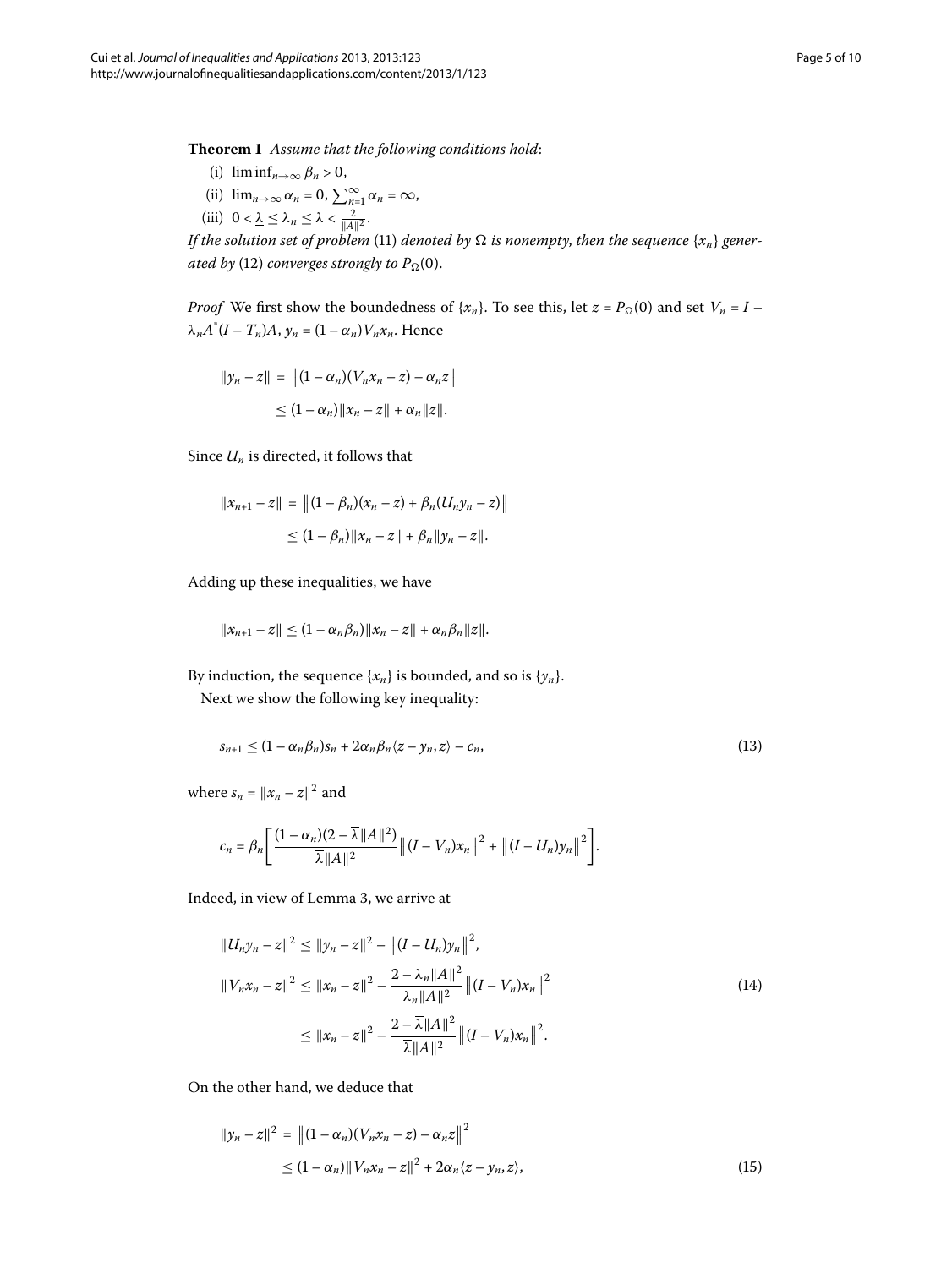<span id="page-4-2"></span>**Theorem**  *Assume that the following conditions hold*:

- (i)  $\liminf_{n\to\infty} \beta_n > 0$ ,
- (ii)  $\lim_{n\to\infty} \alpha_n = 0$ ,  $\sum_{n=1}^{\infty} \alpha_n = \infty$ ,
- (iii)  $0 < \underline{\lambda} \leq \lambda_n \leq \overline{\lambda} < \frac{2}{\|A\|^2}$ .

*If the solution set of problem* [\(](#page-3-0)11) *denoted by*  $\Omega$  *is nonempty, then the sequence* { $x_n$ } *generated by* (12[\)](#page-3-1) *converges strongly to*  $P_{\Omega}(0)$ *.* 

*Proof* We first show the boundedness of  $\{x_n\}$ . To see this, let  $z = P_{\Omega}(0)$  and set  $V_n = I \lambda_n A^*(I - T_n)A$ ,  $y_n = (1 - \alpha_n)V_n x_n$ . Hence

$$
||y_n - z|| = ||(1 - \alpha_n)(V_n x_n - z) - \alpha_n z||
$$
  
 
$$
\leq (1 - \alpha_n) ||x_n - z|| + \alpha_n ||z||.
$$

Since *Un* is directed, it follows that

$$
||x_{n+1} - z|| = ||(1 - \beta_n)(x_n - z) + \beta_n(U_n y_n - z)||
$$
  
\n
$$
\leq (1 - \beta_n) ||x_n - z|| + \beta_n ||y_n - z||.
$$

Adding up these inequalities, we have

<span id="page-4-1"></span>
$$
||x_{n+1} - z|| \leq (1 - \alpha_n \beta_n) ||x_n - z|| + \alpha_n \beta_n ||z||.
$$

By induction, the sequence  $\{x_n\}$  is bounded, and so is  $\{y_n\}$ .

Next we show the following key inequality:

$$
s_{n+1} \le (1 - \alpha_n \beta_n) s_n + 2 \alpha_n \beta_n \langle z - y_n, z \rangle - c_n, \tag{13}
$$

<span id="page-4-0"></span>where  $s_n = ||x_n - z||^2$  and

$$
c_n = \beta_n \Bigg[ \frac{(1-\alpha_n)(2-\overline{\lambda}||A||^2)}{\overline{\lambda}||A||^2} \left\|(I-V_n)x_n\right\|^2 + \left\|(I-U_n)y_n\right\|^2 \Bigg].
$$

Indeed, in view of Lemma 3, we arrive at

$$
||U_n y_n - z||^2 \le ||y_n - z||^2 - ||(I - U_n)y_n||^2,
$$
  
\n
$$
||V_n x_n - z||^2 \le ||x_n - z||^2 - \frac{2 - \lambda_n ||A||^2}{\lambda_n ||A||^2} ||(I - V_n)x_n||^2
$$
  
\n
$$
\le ||x_n - z||^2 - \frac{2 - \overline{\lambda} ||A||^2}{\overline{\lambda} ||A||^2} ||(I - V_n)x_n||^2.
$$
\n(14)

On the other hand, we deduce that

$$
||y_n - z||^2 = ||(1 - \alpha_n)(V_n x_n - z) - \alpha_n z||^2
$$
  
\n
$$
\leq (1 - \alpha_n) ||V_n x_n - z||^2 + 2\alpha_n \langle z - y_n, z \rangle,
$$
\n(15)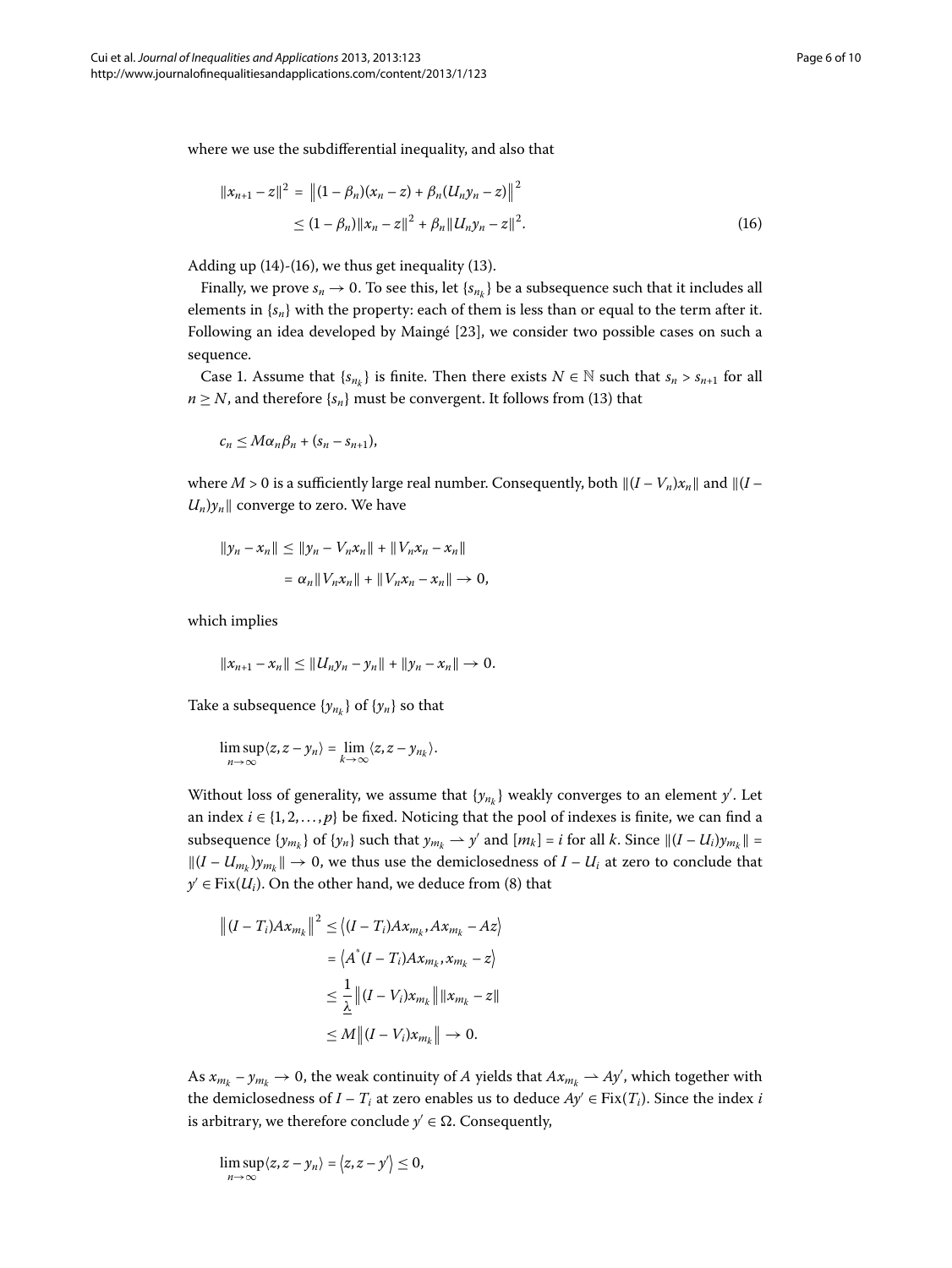<span id="page-5-0"></span>where we use the subdifferential inequality, and also that

$$
||x_{n+1} - z||^2 = ||(1 - \beta_n)(x_n - z) + \beta_n (U_n y_n - z)||^2
$$
  
\n
$$
\leq (1 - \beta_n) ||x_n - z||^2 + \beta_n ||U_n y_n - z||^2.
$$
\n(16)

Adding up  $(14)-(16)$  $(14)-(16)$ , we thus get inequality  $(13)$ .

Finally, we prove  $s_n \to 0$ . To see this, let  $\{s_{n_k}\}\$ be a subsequence such that it includes all elements in  $\{s_n\}$  with the property: each of them is less than or equal to the term after it. Following an idea developed by Maingé [23[\]](#page-9-13), we consider two possible cases on such a sequence.

Case 1. Assume that  $\{s_{n_k}\}\$ is finite. Then there exists  $N \in \mathbb{N}$  such that  $s_n > s_{n+1}$  for all  $n \geq N$ , and therefore  $\{s_n\}$  must be convergent. It follows from [\(](#page-4-1)13) that

 $c_n \leq M \alpha_n \beta_n + (s_n - s_{n+1}),$ 

where  $M > 0$  is a sufficiently large real number. Consequently, both  $\|(I - V_n)x_n\|$  and  $\|(I - V_n)x_n\|$  $U_n$ ) $y_n$  converge to zero. We have

$$
||y_n - x_n|| \le ||y_n - V_n x_n|| + ||V_n x_n - x_n||
$$
  
=  $\alpha_n ||V_n x_n|| + ||V_n x_n - x_n|| \to 0$ ,

which implies

$$
||x_{n+1}-x_n|| \leq ||U_ny_n-y_n|| + ||y_n-x_n|| \to 0.
$$

Take a subsequence  $\{y_{n_k}\}\$  of  $\{y_n\}$  so that

$$
\limsup_{n\to\infty}\langle z,z-y_n\rangle=\lim_{k\to\infty}\langle z,z-y_{n_k}\rangle.
$$

Without loss of generality, we assume that  $\{y_{n_k}\}$  weakly converges to an element  $y'$ . Let an index  $i \in \{1, 2, ..., p\}$  be fixed. Noticing that the pool of indexes is finite, we can find a subsequence  $\{y_{m_k}\}$  of  $\{y_n\}$  such that  $y_{m_k} \to y'$  and  $[m_k] = i$  for all *k*. Since  $||(I - U_i)y_{m_k}|| =$  $||(I - U_{m_k})y_{m_k}|| \to 0$ , we thus use the demiclosedness of  $I - U_i$  at zero to conclude that  $y' \in Fix(U_i)$  $y' \in Fix(U_i)$ . On the other hand, we deduce from (8) that

$$
\left\| (I - T_i) A x_{m_k} \right\|^2 \le \left\langle (I - T_i) A x_{m_k}, A x_{m_k} - A z \right\rangle
$$
  

$$
= \left\langle A^*(I - T_i) A x_{m_k}, x_{m_k} - z \right\rangle
$$
  

$$
\le \frac{1}{\underline{\lambda}} \left\| (I - V_i) x_{m_k} \right\| \|x_{m_k} - z\|
$$
  

$$
\le M \left\| (I - V_i) x_{m_k} \right\| \to 0.
$$

As  $x_{m_k} - y_{m_k} \to 0$ , the weak continuity of *A* yields that  $Ax_{m_k} \to Ay'$ , which together with the demiclosedness of  $I - T_i$  at zero enables us to deduce  $Ay' \in Fix(T_i)$ . Since the index *i* is arbitrary, we therefore conclude  $y' \in \Omega$ . Consequently,

$$
\limsup_{n\to\infty}\langle z,z-y_n\rangle=\langle z,z-y'\rangle\leq 0,
$$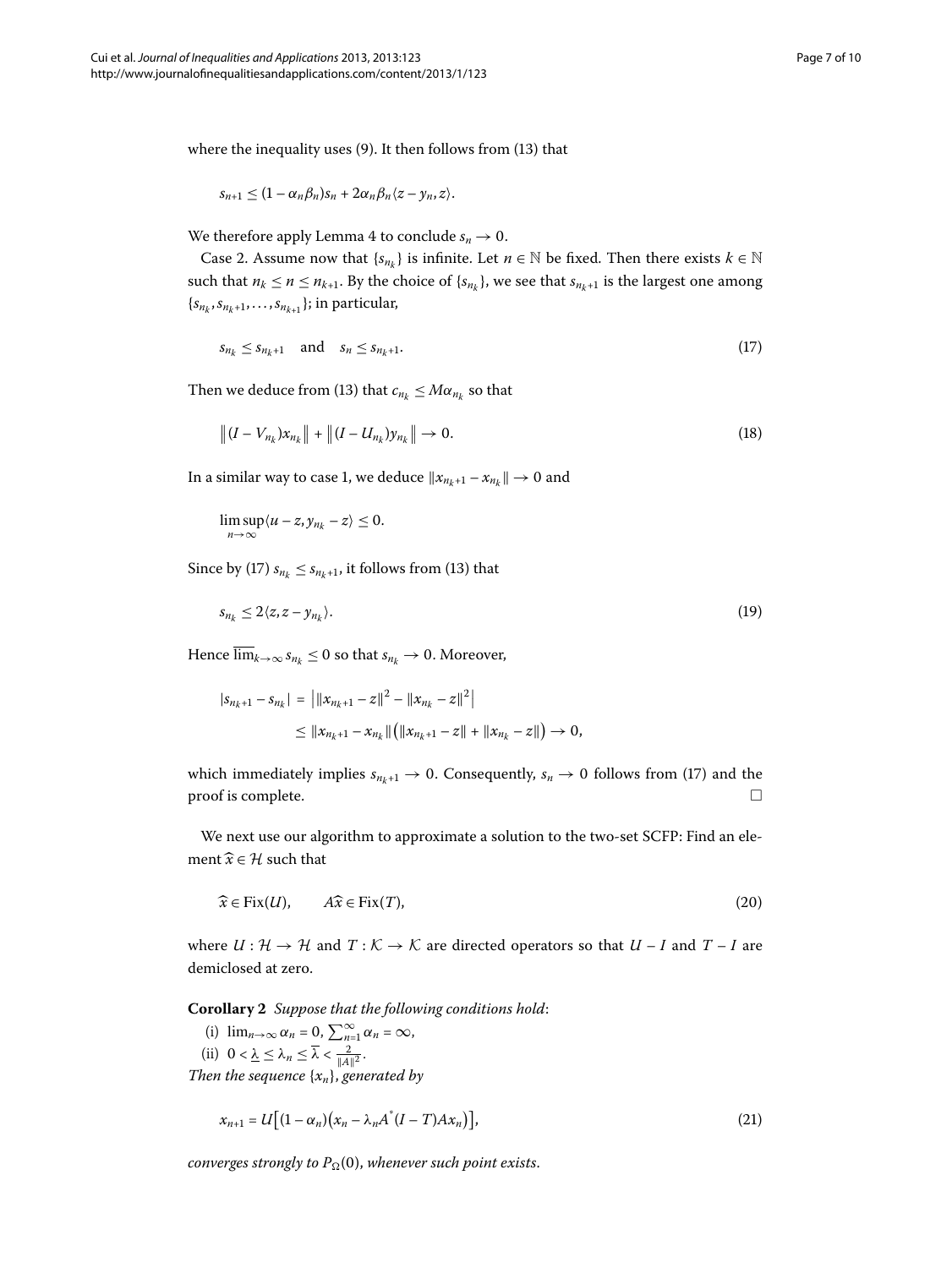where the inequality uses  $(9)$  $(9)$ . It then follows from  $(13)$  that

<span id="page-6-0"></span>
$$
s_{n+1}\leq (1-\alpha_n\beta_n)s_n+2\alpha_n\beta_n\langle z-y_n,z\rangle.
$$

We therefore apply Lemma 4 to conclude  $s_n \to 0$ .

Case 2. Assume now that  $\{s_{n_k}\}\$ is infinite. Let  $n \in \mathbb{N}$  be fixed. Then there exists  $k \in \mathbb{N}$ such that  $n_k \le n \le n_{k+1}$ . By the choice of  $\{s_{n_k}\}\$ , we see that  $s_{n_k+1}$  is the largest one among  $\{s_{n_k}, s_{n_k+1}, \ldots, s_{n_{k+1}}\}$ ; in particular,

$$
s_{n_k} \le s_{n_k+1} \quad \text{and} \quad s_n \le s_{n_k+1}.\tag{17}
$$

Then we deduce from [\(](#page-4-1)13) that  $c_{n_k} \leq M \alpha_{n_k}$  so that

$$
\|(I - V_{n_k})x_{n_k}\| + \|(I - U_{n_k})y_{n_k}\| \to 0.
$$
\n(18)

In a similar way to case 1, we deduce  $\|x_{n_k+1} - x_{n_k}\| \to 0$  and

$$
\limsup_{n\to\infty}\langle u-z,y_{n_k}-z\rangle\leq 0.
$$

Since by (17[\)](#page-4-1)  $s_{n_k} \leq s_{n_k+1}$ , it follows from (13) that

$$
s_{n_k} \le 2\langle z, z - y_{n_k} \rangle. \tag{19}
$$

Hence  $\overline{\lim}_{k\to\infty} s_{n_k} \leq 0$  so that  $s_{n_k} \to 0$ . Moreover,

$$
|s_{n_k+1} - s_{n_k}| = ||x_{n_k+1} - z||^2 - ||x_{n_k} - z||^2|
$$
  
\n
$$
\leq ||x_{n_k+1} - x_{n_k}|| (||x_{n_k+1} - z|| + ||x_{n_k} - z||) \to 0,
$$

which immediately implies  $s_{n_k+1} \rightarrow 0$ . Consequently,  $s_n \rightarrow 0$  follows from [\(](#page-6-0)17) and the  $\Box$  proof is complete.  $\Box$ 

We next use our algorithm to approximate a solution to the two-set SCFP: Find an element  $\widehat{x} \in \mathcal{H}$  such that

$$
\widehat{x} \in \text{Fix}(U), \qquad A\widehat{x} \in \text{Fix}(T), \tag{20}
$$

where  $U: \mathcal{H} \to \mathcal{H}$  and  $T: \mathcal{K} \to \mathcal{K}$  are directed operators so that  $U - I$  and  $T - I$  are demiclosed at zero.

**Corollary**  *Suppose that the following conditions hold*:

(i)  $\lim_{n\to\infty} \alpha_n = 0$ ,  $\sum_{n=1}^{\infty} \alpha_n = \infty$ , (ii)  $0 < \underline{\lambda} \leq \lambda_n \leq \overline{\lambda} < \frac{2}{\|A\|^2}.$ 

*Then the sequence* {*xn*}, *generated by*

$$
x_{n+1} = U\big[(1-\alpha_n)(x_n - \lambda_n A^*(I-T)Ax_n)\big],\tag{21}
$$

*converges strongly to*  $P_{\Omega}(0)$ *, whenever such point exists.*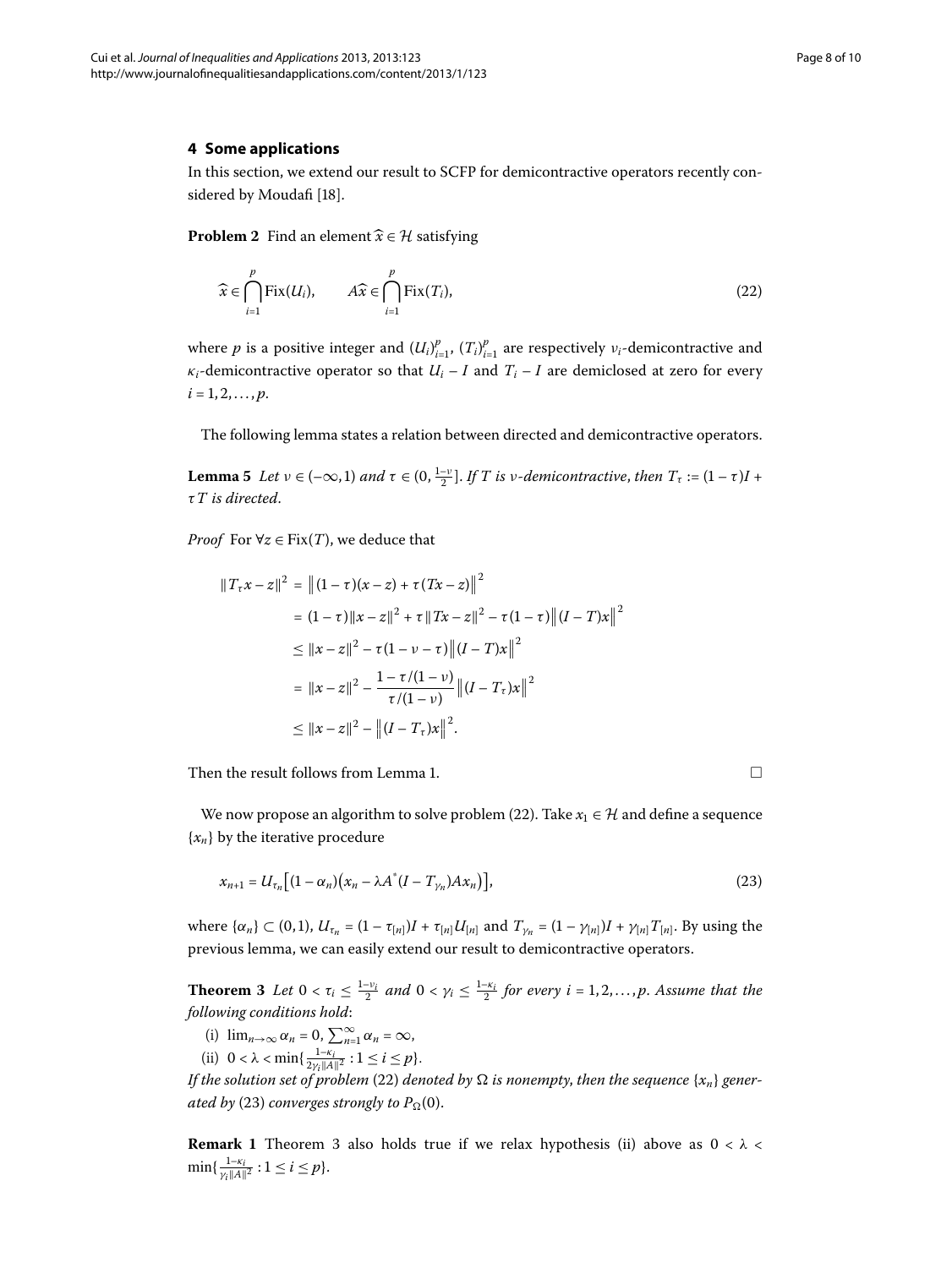## **4 Some applications**

In this section, we extend our result to SCFP for demicontractive operators recently con-sidered by Moudafi [\[](#page-9-8)18].

**Problem 2** Find an element  $\widehat{x} \in \mathcal{H}$  satisfying

<span id="page-7-0"></span>
$$
\widehat{x} \in \bigcap_{i=1}^{p} \text{Fix}(U_i), \qquad A\widehat{x} \in \bigcap_{i=1}^{p} \text{Fix}(T_i), \tag{22}
$$

where  $p$  is a positive integer and  $(U_i)_{i=1}^p$ ,  $(T_i)_{i=1}^p$  are respectively  $v_i$ -demicontractive and *κ*<sup>*i*</sup>-demicontractive operator so that  $U_i - I$  and  $T_i - I$  are demiclosed at zero for every  $i = 1, 2, \ldots, p.$ 

The following lemma states a relation between directed and demicontractive operators.

**Lemma 5** Let  $v \in (-\infty, 1)$  and  $\tau \in (0, \frac{1-v}{2}]$ . If T is *v*-demicontractive, then  $T_{\tau} := (1 - \tau)I +$ *τT is directed*.

*Proof* For  $\forall z \in Fix(T)$ , we deduce that

$$
||T_{\tau}x - z||^2 = ||(1 - \tau)(x - z) + \tau(Tx - z)||^2
$$
  
\n
$$
= (1 - \tau)||x - z||^2 + \tau ||Tx - z||^2 - \tau(1 - \tau)||(I - T)x||^2
$$
  
\n
$$
\le ||x - z||^2 - \tau(1 - \nu - \tau)||(I - T)x||^2
$$
  
\n
$$
= ||x - z||^2 - \frac{1 - \tau/(1 - \nu)}{\tau/(1 - \nu)} ||(I - T_{\tau})x||^2
$$
  
\n
$$
\le ||x - z||^2 - ||(I - T_{\tau})x||^2.
$$

Then the result follows from Lemma 1.  $\Box$ 

<span id="page-7-2"></span>We now propose an algorithm to solve problem (22[\)](#page-7-0). Take  $x_1 \in \mathcal{H}$  and define a sequence {*xn*} by the iterative procedure

<span id="page-7-1"></span>
$$
x_{n+1} = U_{\tau_n} \big[ (1 - \alpha_n) \big( x_n - \lambda A^* (I - T_{\gamma_n}) A x_n \big) \big],\tag{23}
$$

where  $\{\alpha_n\} \subset (0,1)$ ,  $U_{\tau_n} = (1 - \tau_{[n]})I + \tau_{[n]}U_{[n]}$  and  $T_{\gamma_n} = (1 - \gamma_{[n]})I + \gamma_{[n]}T_{[n]}$ . By using the previous lemma, we can easily extend our result to demicontractive operators.

**Theorem 3** Let  $0 < \tau_i \leq \frac{1-\nu_i}{2}$  and  $0 < \gamma_i \leq \frac{1-\kappa_i}{2}$  for every  $i = 1, 2, ..., p$ . Assume that the *following conditions hold*:

- (i)  $\lim_{n\to\infty} \alpha_n = 0$ ,  $\sum_{n=1}^{\infty} \alpha_n = \infty$ ,
- (ii)  $0 < \lambda < \min\{\frac{1-\kappa_i}{2\gamma_i ||A||^2} : 1 \le i \le p\}.$

*If the solution set of problem* (22) *denoted by*  $\Omega$  *is nonempty, then the sequence*  $\{x_n\}$  *generated by* (23[\)](#page-7-1) *converges strongly to*  $P_{\Omega}(0)$ *.* 

**Remark 1** Theorem 3 also holds true if we relax hypothesis (ii) above as  $0 < \lambda <$  $\min\{\frac{1-\kappa_i}{\gamma_i\|A\|^2}:1\leq i\leq p\}.$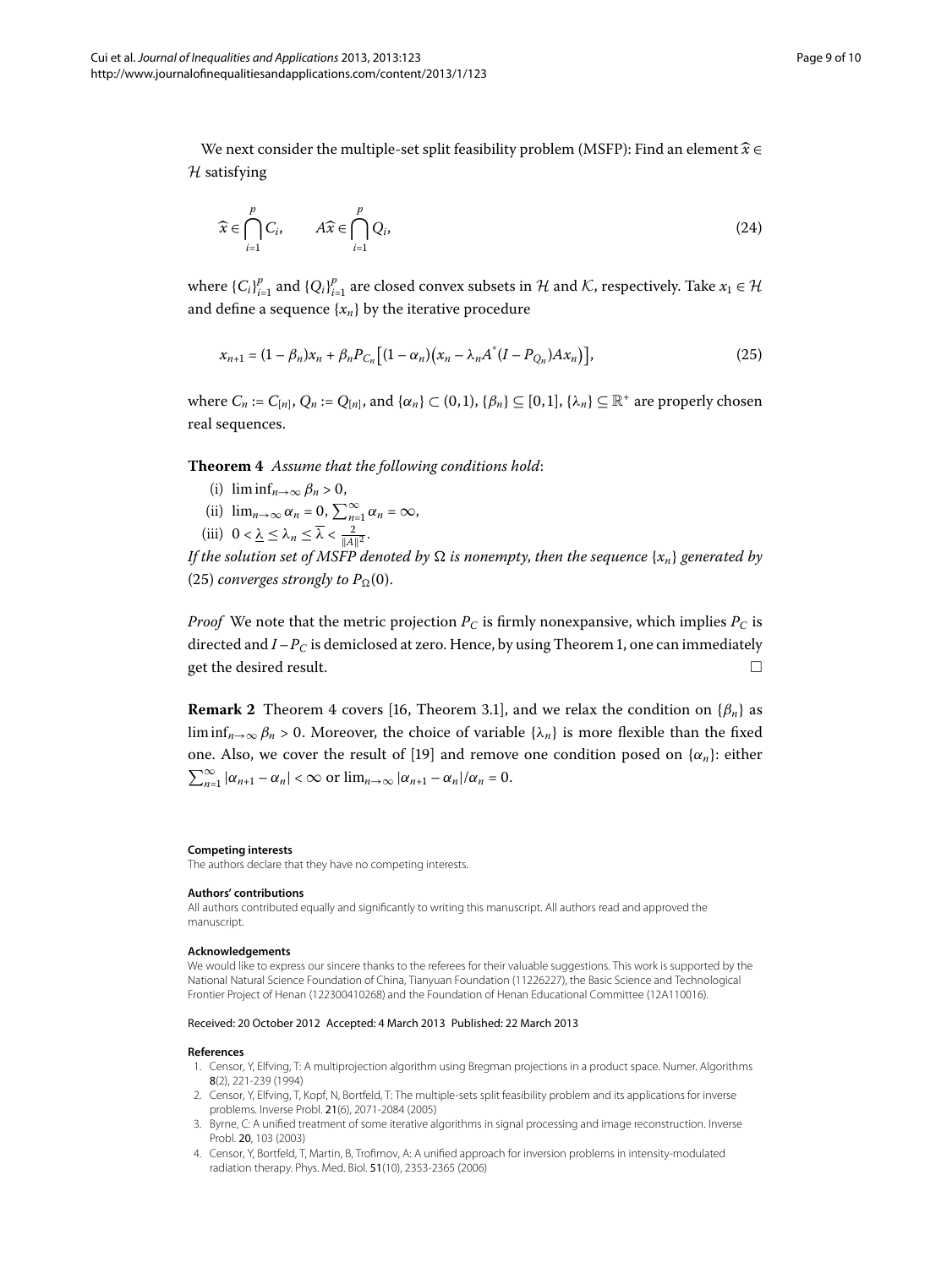We next consider the multiple-set split feasibility problem (MSFP): Find an element-*x* ∈  $H$  satisfying

<span id="page-8-4"></span>
$$
\widehat{x} \in \bigcap_{i=1}^{p} C_i, \qquad A\widehat{x} \in \bigcap_{i=1}^{p} Q_i,
$$
\n(24)

<span id="page-8-5"></span>where  ${C_i}_{i=1}^p$  and  ${Q_i}_{i=1}^p$  are closed convex subsets in  $H$  and  $K$ , respectively. Take  $x_1 \in H$ and define a sequence  $\{x_n\}$  by the iterative procedure

$$
x_{n+1} = (1 - \beta_n)x_n + \beta_n P_{C_n} \left[ (1 - \alpha_n)(x_n - \lambda_n A^* (I - P_{Q_n}) A x_n) \right],
$$
\n(25)

where  $C_n := C_{[n]}, Q_n := Q_{[n]},$  and  $\{\alpha_n\} \subset (0,1), \{\beta_n\} \subseteq [0,1], \{\lambda_n\} \subseteq \mathbb{R}^+$  are properly chosen real sequences.

**Theorem**  *Assume that the following conditions hold*:

- (i)  $\liminf_{n\to\infty} \beta_n > 0$ ,
- (ii)  $\lim_{n\to\infty} \alpha_n = 0$ ,  $\sum_{n=1}^{\infty} \alpha_n = \infty$ ,
- (iii)  $0 < \underline{\lambda} \leq \lambda_n \leq \overline{\lambda} < \frac{2}{\|A\|^2}$ .

*If the solution set of MSFP denoted by*  $\Omega$  *is nonempty, then the sequence* { $x_n$ } *generated by* (25[\)](#page-8-4) *converges strongly to*  $P_{\Omega}(0)$ .

*Proof* We note that the metric projection  $P_C$  is firmly nonexpansive, which implies  $P_C$  is directed and  $I-P_C$  is demiclosed at zero. Hence, by using Theorem 1, one can immediately get the desired result.  $\Box$ 

**Remark 2** Theorem 4 covers [\[](#page-9-6)16, Theorem 3.1], and we relax the condition on  $\{\beta_n\}$  as liminf<sub>*n*→∞</sub>  $\beta_n$  > 0. Moreover, the choice of variable { $\lambda_n$ } is more flexible than the fixed one. Also, we cover the result of [\[](#page-9-9)19] and remove one condition posed on  $\{\alpha_n\}$ : either  $\sum_{n=1}^{\infty} |\alpha_{n+1} - \alpha_n| < \infty$  or  $\lim_{n \to \infty} |\alpha_{n+1} - \alpha_n|/\alpha_n = 0$ .

#### **Competing interests**

The authors declare that they have no competing interests.

#### **Authors' contributions**

<span id="page-8-0"></span>All authors contributed equally and significantly to writing this manuscript. All authors read and approved the manuscript.

## <span id="page-8-1"></span>**Acknowledgements**

<span id="page-8-2"></span>We would like to express our sincere thanks to the referees for their valuable suggestions. This work is supported by the National Natural Science Foundation of China, Tianyuan Foundation (11226227), the Basic Science and Technological Frontier Project of Henan (122300410268) and the Foundation of Henan Educational Committee (12A110016).

#### <span id="page-8-3"></span>Received: 20 October 2012 Accepted: 4 March 2013 Published: 22 March 2013

#### **References**

- 1. Censor, Y, Elfving, T: A multiprojection algorithm using Bregman projections in a product space. Numer. Algorithms 8(2), 221-239 (1994)
- 2. Censor, Y, Elfving, T, Kopf, N, Bortfeld, T: The multiple-sets split feasibility problem and its applications for inverse problems. Inverse Probl. 21(6), 2071-2084 (2005)
- 3. Byrne, C: A unified treatment of some iterative algorithms in signal processing and image reconstruction. Inverse Probl. 20, 103 (2003)
- 4. Censor, Y, Bortfeld, T, Martin, B, Trofimov, A: A unified approach for inversion problems in intensity-modulated radiation therapy. Phys. Med. Biol. 51(10), 2353-2365 (2006)